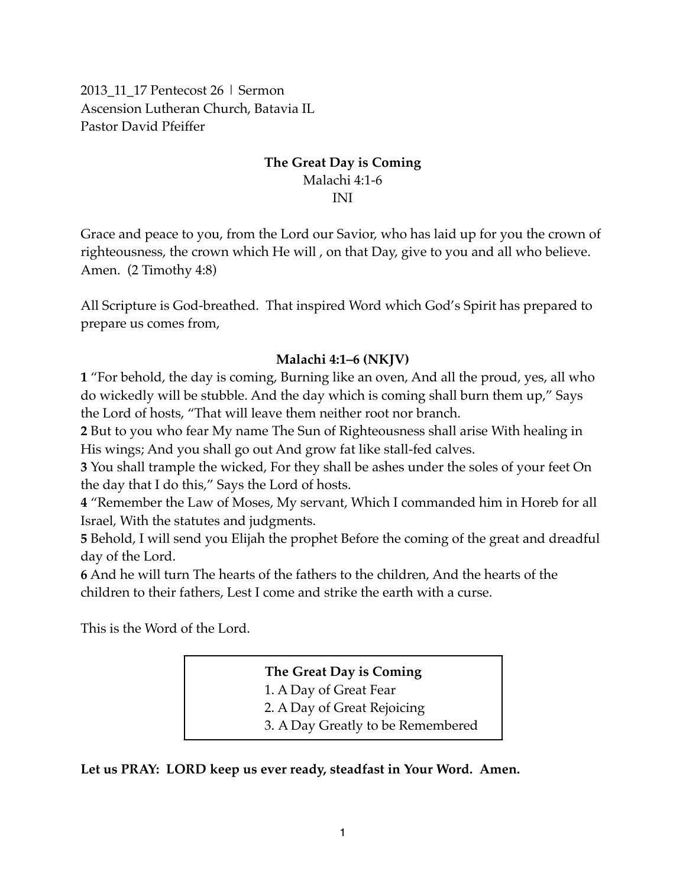2013\_11\_17 Pentecost 26 | Sermon Ascension Lutheran Church, Batavia IL Pastor David Pfeiffer

### **The Great Day is Coming** Malachi 4:1-6 INI

Grace and peace to you, from the Lord our Savior, who has laid up for you the crown of righteousness, the crown which He will , on that Day, give to you and all who believe. Amen. (2 Timothy 4:8)

All Scripture is God-breathed. That inspired Word which God's Spirit has prepared to prepare us comes from,

#### **Malachi 4:1–6 (NKJV)**

**1** "For behold, the day is coming, Burning like an oven, And all the proud, yes, all who do wickedly will be stubble. And the day which is coming shall burn them up," Says the Lord of hosts, "That will leave them neither root nor branch.

**2** But to you who fear My name The Sun of Righteousness shall arise With healing in His wings; And you shall go out And grow fat like stall-fed calves.

**3** You shall trample the wicked, For they shall be ashes under the soles of your feet On the day that I do this," Says the Lord of hosts.

**4** "Remember the Law of Moses, My servant, Which I commanded him in Horeb for all Israel, With the statutes and judgments.

**5** Behold, I will send you Elijah the prophet Before the coming of the great and dreadful day of the Lord.

**6** And he will turn The hearts of the fathers to the children, And the hearts of the children to their fathers, Lest I come and strike the earth with a curse.

This is the Word of the Lord.

**The Great Day is Coming** 1. A Day of Great Fear 2. A Day of Great Rejoicing 3. A Day Greatly to be Remembered

**Let us PRAY: LORD keep us ever ready, steadfast in Your Word. Amen.**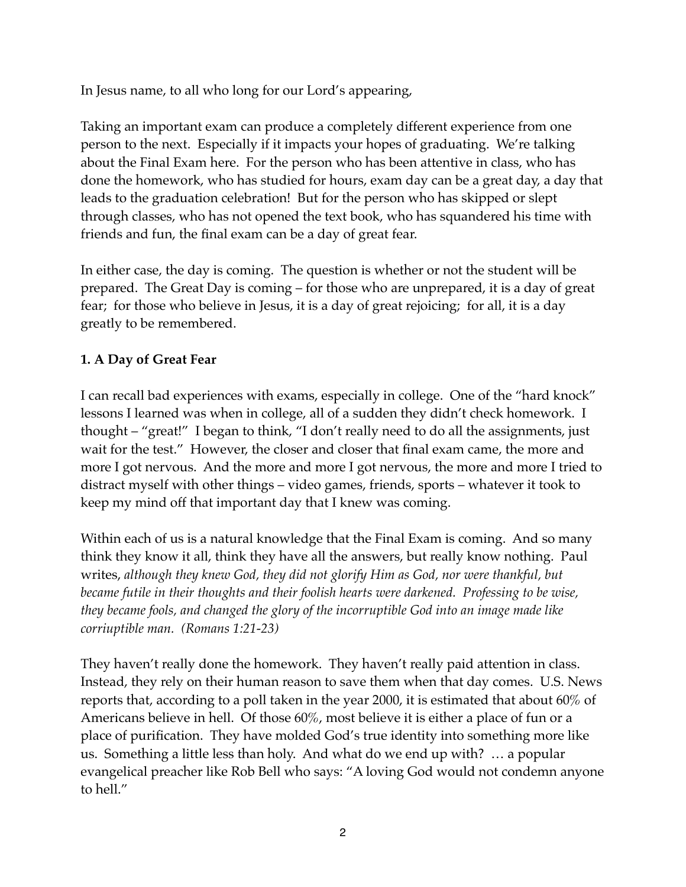In Jesus name, to all who long for our Lord's appearing,

Taking an important exam can produce a completely different experience from one person to the next. Especially if it impacts your hopes of graduating. We're talking about the Final Exam here. For the person who has been attentive in class, who has done the homework, who has studied for hours, exam day can be a great day, a day that leads to the graduation celebration! But for the person who has skipped or slept through classes, who has not opened the text book, who has squandered his time with friends and fun, the final exam can be a day of great fear.

In either case, the day is coming. The question is whether or not the student will be prepared. The Great Day is coming – for those who are unprepared, it is a day of great fear; for those who believe in Jesus, it is a day of great rejoicing; for all, it is a day greatly to be remembered.

# **1. A Day of Great Fear**

I can recall bad experiences with exams, especially in college. One of the "hard knock" lessons I learned was when in college, all of a sudden they didn't check homework. I thought – "great!" I began to think, "I don't really need to do all the assignments, just wait for the test." However, the closer and closer that final exam came, the more and more I got nervous. And the more and more I got nervous, the more and more I tried to distract myself with other things – video games, friends, sports – whatever it took to keep my mind off that important day that I knew was coming.

Within each of us is a natural knowledge that the Final Exam is coming. And so many think they know it all, think they have all the answers, but really know nothing. Paul writes, *although they knew God, they did not glorify Him as God, nor were thankful, but became futile in their thoughts and their foolish hearts were darkened. Professing to be wise, they became fools, and changed the glory of the incorruptible God into an image made like corriuptible man. (Romans 1:21-23)*

They haven't really done the homework. They haven't really paid attention in class. Instead, they rely on their human reason to save them when that day comes. U.S. News reports that, according to a poll taken in the year 2000, it is estimated that about 60% of Americans believe in hell. Of those 60%, most believe it is either a place of fun or a place of purification. They have molded God's true identity into something more like us. Something a little less than holy. And what do we end up with? … a popular evangelical preacher like Rob Bell who says: "A loving God would not condemn anyone to hell."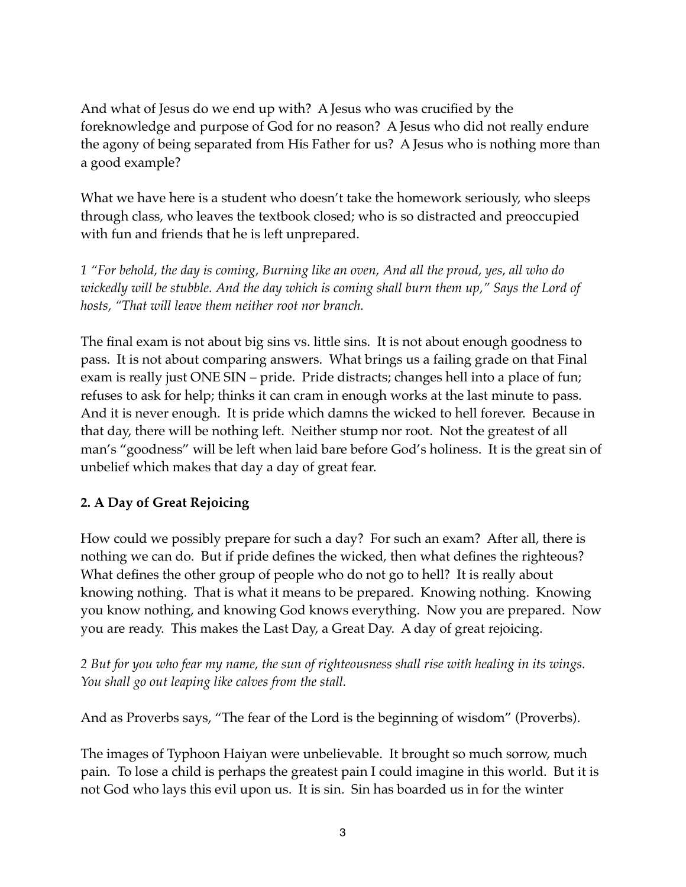And what of Jesus do we end up with? A Jesus who was crucified by the foreknowledge and purpose of God for no reason? A Jesus who did not really endure the agony of being separated from His Father for us? A Jesus who is nothing more than a good example?

What we have here is a student who doesn't take the homework seriously, who sleeps through class, who leaves the textbook closed; who is so distracted and preoccupied with fun and friends that he is left unprepared.

*1 "For behold, the day is coming, Burning like an oven, And all the proud, yes, all who do wickedly will be stubble. And the day which is coming shall burn them up," Says the Lord of hosts, "That will leave them neither root nor branch.* 

The final exam is not about big sins vs. little sins. It is not about enough goodness to pass. It is not about comparing answers. What brings us a failing grade on that Final exam is really just ONE SIN – pride. Pride distracts; changes hell into a place of fun; refuses to ask for help; thinks it can cram in enough works at the last minute to pass. And it is never enough. It is pride which damns the wicked to hell forever. Because in that day, there will be nothing left. Neither stump nor root. Not the greatest of all man's "goodness" will be left when laid bare before God's holiness. It is the great sin of unbelief which makes that day a day of great fear.

## **2. A Day of Great Rejoicing**

How could we possibly prepare for such a day? For such an exam? After all, there is nothing we can do. But if pride defines the wicked, then what defines the righteous? What defines the other group of people who do not go to hell? It is really about knowing nothing. That is what it means to be prepared. Knowing nothing. Knowing you know nothing, and knowing God knows everything. Now you are prepared. Now you are ready. This makes the Last Day, a Great Day. A day of great rejoicing.

*2 But for you who fear my name, the sun of righteousness shall rise with healing in its wings. You shall go out leaping like calves from the stall.* 

And as Proverbs says, "The fear of the Lord is the beginning of wisdom" (Proverbs).

The images of Typhoon Haiyan were unbelievable. It brought so much sorrow, much pain. To lose a child is perhaps the greatest pain I could imagine in this world. But it is not God who lays this evil upon us. It is sin. Sin has boarded us in for the winter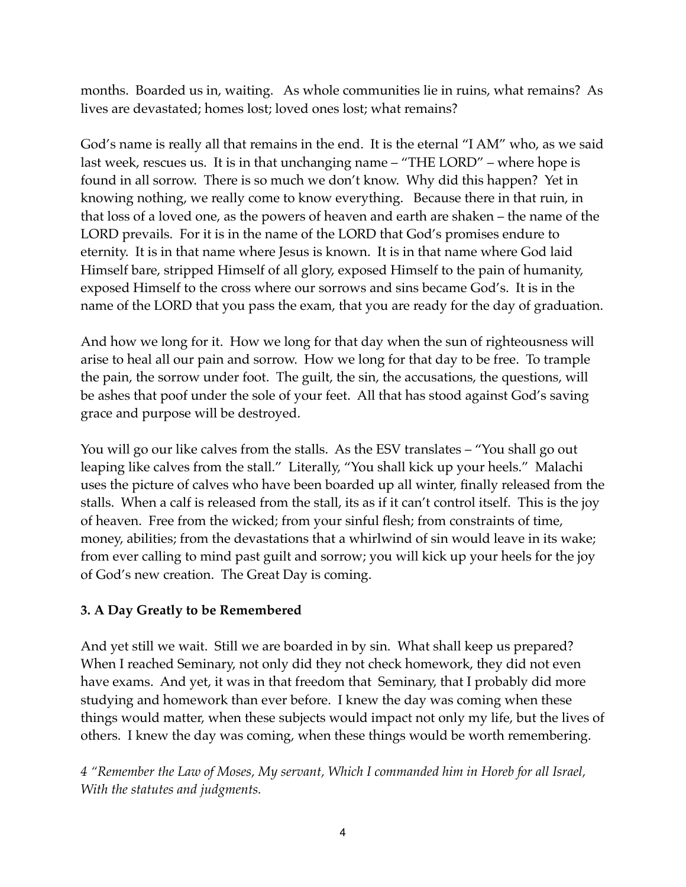months. Boarded us in, waiting. As whole communities lie in ruins, what remains? As lives are devastated; homes lost; loved ones lost; what remains?

God's name is really all that remains in the end. It is the eternal "I AM" who, as we said last week, rescues us. It is in that unchanging name – "THE LORD" – where hope is found in all sorrow. There is so much we don't know. Why did this happen? Yet in knowing nothing, we really come to know everything. Because there in that ruin, in that loss of a loved one, as the powers of heaven and earth are shaken – the name of the LORD prevails. For it is in the name of the LORD that God's promises endure to eternity. It is in that name where Jesus is known. It is in that name where God laid Himself bare, stripped Himself of all glory, exposed Himself to the pain of humanity, exposed Himself to the cross where our sorrows and sins became God's. It is in the name of the LORD that you pass the exam, that you are ready for the day of graduation.

And how we long for it. How we long for that day when the sun of righteousness will arise to heal all our pain and sorrow. How we long for that day to be free. To trample the pain, the sorrow under foot. The guilt, the sin, the accusations, the questions, will be ashes that poof under the sole of your feet. All that has stood against God's saving grace and purpose will be destroyed.

You will go our like calves from the stalls. As the ESV translates – "You shall go out leaping like calves from the stall." Literally, "You shall kick up your heels." Malachi uses the picture of calves who have been boarded up all winter, finally released from the stalls. When a calf is released from the stall, its as if it can't control itself. This is the joy of heaven. Free from the wicked; from your sinful flesh; from constraints of time, money, abilities; from the devastations that a whirlwind of sin would leave in its wake; from ever calling to mind past guilt and sorrow; you will kick up your heels for the joy of God's new creation. The Great Day is coming.

## **3. A Day Greatly to be Remembered**

And yet still we wait. Still we are boarded in by sin. What shall keep us prepared? When I reached Seminary, not only did they not check homework, they did not even have exams. And yet, it was in that freedom that Seminary, that I probably did more studying and homework than ever before. I knew the day was coming when these things would matter, when these subjects would impact not only my life, but the lives of others. I knew the day was coming, when these things would be worth remembering.

*4 "Remember the Law of Moses, My servant, Which I commanded him in Horeb for all Israel, With the statutes and judgments.*